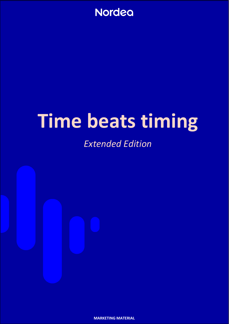

# **Time beats timing**

## *Extended Edition*

**MARKETING MATERIAL**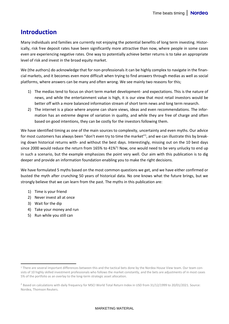#### **Introduction**

Many individuals and families are currently not enjoying the potential benefits of long term investing. Historically, risk free deposit rates have been significantly more attractive than now, where people in some cases even are experiencing negative rates. One way to potentially achieve better returns is to take an appropriate level of risk and invest in the broad equity market.

We (the authors) do acknowledge that for non-professionals it can be highly complex to navigate in the financial markets, and it becomes even more difficult when trying to find answers through medias as well as social platforms, where answers can be many and often wrong. We see mainly two reasons for this;

- 1) The medias tend to focus on short term market development- and expectations. This is the nature of news, and while the entertainment value is high, it is our view that most retail investors would be better off with a more balanced information stream of short term news and long term research.
- 2) The internet is a place where anyone can share views, ideas and even recommendations. The information has an extreme degree of variation in quality, and while they are free of charge and often based on good intentions, they can be costly for the investors following them.

We have identified timing as one of the main sources to complexity, uncertainty and even myths. Our advice for most customers has always been "don't even try to time the market"<sup>1</sup>, and we can illustrate this by breaking down historical returns with- and without the best days. Interestingly, missing out on the 10 best days since 2000 would reduce the return from 165% to 41%<sup>2</sup>! Now, one would need to be very unlucky to end up in such a scenario, but the example emphasizes the point very well. Our aim with this publication is to dig deeper and provide an information foundation enabling you to make the right decisions.

We have formulated 5 myths based on the most common questions we get, and we have either confirmed or busted the myth after crunching 50 years of historical data. No one knows what the future brings, but we strongly believe that we can learn from the past. The myths in this publication are:

- 1) Time is your friend
- 2) Never invest all at once
- 3) Wait for the dip
- 4) Take your money and run
- 5) Run while you still can

<sup>&</sup>lt;sup>1</sup> There are several important differences between this and the tactical bets done by the Nordea House View team. Our team consists of 10 highly skilled investment professionals who follows the market constantly, and the bets are adjustments of in most cases 5% of the portfolio as an overlay to the long-term strategic asset allocation.

<sup>&</sup>lt;sup>2</sup> Based on calculations with daily frequency for MSCI World Total Return Index in USD from 31/12/1999 to 20/01/2021. Source: Nordea, Thomson Reuters.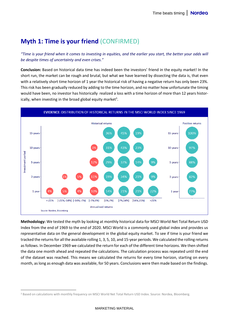## **Myth 1: Time is your friend** (CONFIRMED)

*"Time is your friend when it comes to investing in equities, and the earlier you start, the better your odds will be despite times of uncertainty and even crises."*

**Conclusion:** Based on historical data time has indeed been the investors' friend in the equity market! In the short run, the market can be rough and brutal, but what we have learned by dissecting the data is, that even with a relatively short time horizon of 1 year the historical risk of having a negative return has only been 23%. This risk has been gradually reduced by adding to the time horizon, and no matter how unfortunate the timing would have been, no investor has historically realized a loss with a time horizon of more than 12 years historically, when investing in the broad global equity market<sup>3</sup>.



**Methodology:** We tested the myth by looking at monthly historical data for MSCI World Net Total Return USD Index from the end of 1969 to the end of 2020. MSCI World is a commonly used global index and provides us representative data on the general development in the global equity market. To see if time is your friend we tracked the returns for all the available rolling 1, 3, 5, 10, and 15-year periods. We calculated the rolling returns as follows. In December 1969 we calculated the return for each of the different time horizons. We then shifted the data one month ahead and repeated the calculations. The calculation process was repeated until the end of the dataset was reached. This means we calculated the returns for every time horizon, starting on every month, as long as enough data was available, for 50 years. Conclusions were then made based on the findings.

<sup>&</sup>lt;sup>3</sup> Based on calculations with monthly frequency on MSCI World Net Total Return USD Index. Source: Nordea, Bloomberg.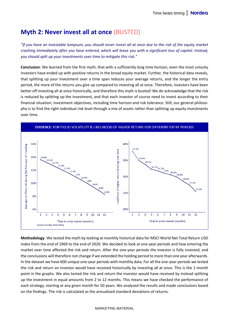### **Myth 2: Never invest all at once** (BUSTED)

*"If you have an investable lumpsum, you should never invest all at once due to the risk of the equity market crashing immediately after you have entered, which will leave you with a significant loss of capital. Instead, you should split up your investments over time to mitigate this risk."*

**Conclusion**: We learned from the first myth, that with a sufficiently long time horizon, even the most unlucky investors have ended up with positive returns in the broad equity market. Further, the historical data reveals, that splitting up your investment over a time span reduces your average returns, and the longer the entry period, the more of the returns you give up compared to investing all at once. Therefore, investors have been better off investing all at once historically, and therefore this myth is busted! We do acknowledge that the risk is reduced by splitting up the investment, and that each investor of course need to invest according to their financial situation, investment objectives, including time horizon and risk tolerance. Still, our general philosophy is to find the right individual risk level through a mix of assets rather than splitting up equity investments over time.



**Methodology**: We tested the myth by looking at monthly historical data for MSCI World Net Total Return USD Index from the end of 1969 to the end of 2020. We decided to look at one-year periods and how entering the market over time affected the risk and return. After the one-year periods the investor is fully invested, and the conclusions will therefore not change if we extended the holding period to more than one year afterwards. In the dataset we have 600 unique one-year periods with monthly data. For all the one-year periods we tested the risk and return an investor would have received historically by investing all at once. This is the 1-month point in the graphs. We also tested the risk and return the investor would have received by instead splitting up the investment in equal amounts from 2 to 12 months. This means we have checked the performance of each strategy, starting at any given month for 50 years. We analysed the results and made conclusions based on the findings. The risk is calculated as the annualized standard deviations of returns.

#### MARKETING MATERIAL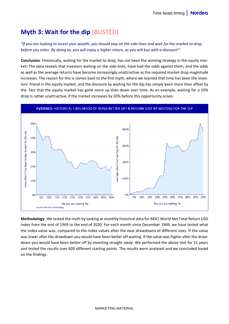## **Myth 3: Wait for the dip** (BUSTED)

*"If you are looking to invest your wealth, you should stay on the side-lines and wait for the market to drop before you enter. By doing so, you will enjoy a higher return, as you will buy with a discount!"*

**Conclusion**: Historically, waiting for the market to drop, has not been the winning strategy in the equity market! The data reveals that investors waiting on the side-lines, have had the odds against them, and the odds as well as the average returns have become increasingly unattractive as the required market drop magnitude increases. The reason for this is comes back to the first myth, where we learned that time has been the investors' friend in the equity market, and the discount by waiting for the dip has simply been more than offset by the fact that the equity market has gone more up than down over time. As an example, waiting for a 10% drop is rather unattractive, if the market increases by 20% before this opportunity arises.



**Methodology**: We tested the myth by looking at monthly historical data for MSCI World Net Total Return USD Index from the end of 1969 to the end of 2020. For each month since December 1969, we have tested what the index value was, compared to the index values after the next drawdowns of different sizes. If the value was lower after the drawdown you would have been better off waiting. If the value was higher after the drawdown you would have been better off by investing straight away. We performed the above test for 51 years and tested the results over 600 different starting points. The results were analysed and we concluded based on the findings.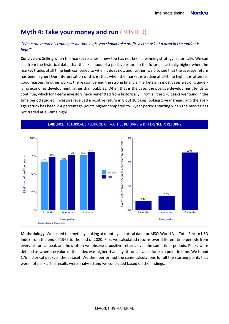## **Myth 4: Take your money and run** (BUSTED)

#### *"When the market is trading at all-time high, you should take profit, as the risk of a drop in the market is high!"*

**Conclusion**: Selling when the market reaches a new top has not been a winning strategy historically. We can see from the historical data, that the likelihood of a positive return in the future, is actually higher when the market trades at all time high compared to when it does not, and further, we also see that the average return has been higher! Our interpretation of this is, that when the market is trading at all-time high, it is often for good reasons. In other words, the reason behind the strong financial markets is in most cases a strong underlying economic development rather than bubbles. When that is the case, the positive development tends to continue, which long-term investors have benefitted from historically. From all the 176 peaks we found in the time period studied, investors received a positive return in 8 out 10 cases looking 1 year ahead, and the average return has been 2.4 percentage points higher compared to 1-year periods starting when the market has not traded at all-time high!



**Methodology**: We tested the myth by looking at monthly historical data for MSCI World Net Total Return USD Index from the end of 1969 to the end of 2020. First we calculated returns over different time periods from every historical peak and how often we observed positive returns over the same time periods. Peaks were defined as when the value of the index was higher than any historical value for each point in time. We found 176 historical peaks in the dataset. We then performed the same calculations for all the starting points that were not peaks. The results were analysed and we concluded based on the findings.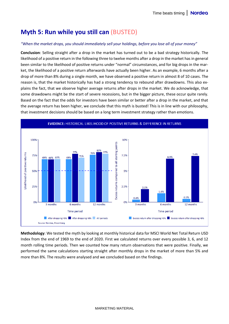## **Myth 5: Run while you still can** (BUSTED)

#### *"When the market drops, you should immediately sell your holdings, before you lose all of your money"*

**Conclusion**: Selling straight after a drop in the market has turned out to be a bad strategy historically. The likelihood of a positive return in the following three to twelve months after a drop in the market has in general been similar to the likelihood of positive returns under "normal" circumstances, and for big drops in the market, the likelihood of a positive return afterwards have actually been higher. As an example, 6 months after a drop of more than 8% during a single month, we have observed a positive return in almost 8 of 10 cases. The reason is, that the market historically has had a strong tendency to rebound after drawdowns. This also explains the fact, that we observe higher average returns after drops in the market. We do acknowledge, that some drawdowns might be the start of severe recessions, but in the bigger picture, these occur quite rarely. Based on the fact that the odds for investors have been similar or better after a drop in the market, and that the average return has been higher, we conclude that this myth is busted! This is in line with our philosophy, that investment decisions should be based on a long term investment strategy rather than emotions.



**Methodology**: We tested the myth by looking at monthly historical data for MSCI World Net Total Return USD Index from the end of 1969 to the end of 2020. First we calculated returns over every possible 3, 6, and 12 month rolling time periods. Then we counted how many return observations that were positive. Finally, we performed the same calculations starting straight after monthly drops in the market of more than 5% and more than 8%. The results were analysed and we concluded based on the findings.